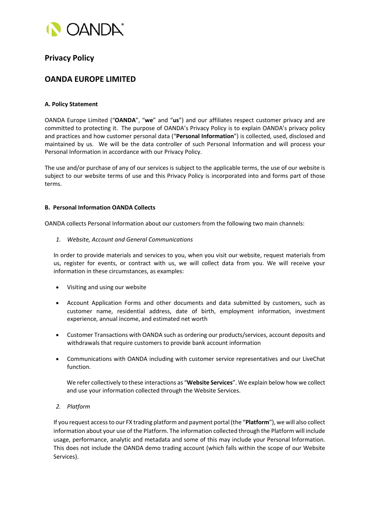

# **Privacy Policy**

# **OANDA EUROPE LIMITED**

# **A. Policy Statement**

OANDA Europe Limited ("**OANDA**", "**we**" and "**us**") and our affiliates respect customer privacy and are committed to protecting it. The purpose of OANDA's Privacy Policy is to explain OANDA's privacy policy and practices and how customer personal data ("**Personal Information**") is collected, used, disclosed and maintained by us. We will be the data controller of such Personal Information and will process your Personal Information in accordance with our Privacy Policy.

The use and/or purchase of any of our services is subject to the applicable terms, the use of our website is subject to our website terms of use and this Privacy Policy is incorporated into and forms part of those terms.

## **B. Personal Information OANDA Collects**

OANDA collects Personal Information about our customers from the following two main channels:

*1. Website, Account and General Communications*

In order to provide materials and services to you, when you visit our website, request materials from us, register for events, or contract with us, we will collect data from you. We will receive your information in these circumstances, as examples:

- Visiting and using our website
- Account Application Forms and other documents and data submitted by customers, such as customer name, residential address, date of birth, employment information, investment experience, annual income, and estimated net worth
- Customer Transactions with OANDA such as ordering our products/services, account deposits and withdrawals that require customers to provide bank account information
- Communications with OANDA including with customer service representatives and our LiveChat function.

We refer collectively to these interactions as "**Website Services**". We explain below how we collect and use your information collected through the Website Services.

*2. Platform*

If you request access to our FX trading platform and payment portal (the "**Platform**"), we will also collect information about your use of the Platform. The information collected through the Platform will include usage, performance, analytic and metadata and some of this may include your Personal Information. This does not include the OANDA demo trading account (which falls within the scope of our Website Services).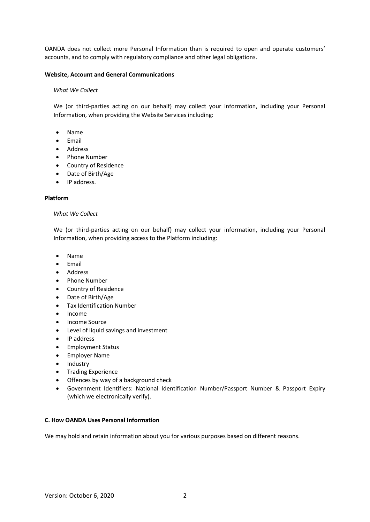OANDA does not collect more Personal Information than is required to open and operate customers' accounts, and to comply with regulatory compliance and other legal obligations.

## **Website, Account and General Communications**

#### *What We Collect*

We (or third-parties acting on our behalf) may collect your information, including your Personal Information, when providing the Website Services including:

- Name
- Email
- Address
- Phone Number
- Country of Residence
- Date of Birth/Age
- IP address.

#### **Platform**

#### *What We Collect*

We (or third-parties acting on our behalf) may collect your information, including your Personal Information, when providing access to the Platform including:

- Name
- Email
- Address
- Phone Number
- Country of Residence
- Date of Birth/Age
- Tax Identification Number
- Income
- Income Source
- Level of liquid savings and investment
- IP address
- Employment Status
- Employer Name
- Industry
- Trading Experience
- Offences by way of a background check
- Government Identifiers: National Identification Number/Passport Number & Passport Expiry (which we electronically verify).

# **C. How OANDA Uses Personal Information**

We may hold and retain information about you for various purposes based on different reasons.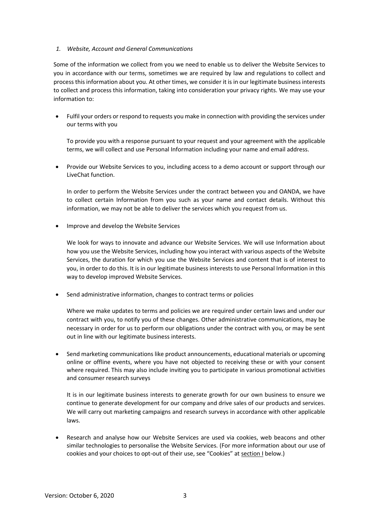## *1. Website, Account and General Communications*

Some of the information we collect from you we need to enable us to deliver the Website Services to you in accordance with our terms, sometimes we are required by law and regulations to collect and process this information about you. At other times, we consider it is in our legitimate business interests to collect and process this information, taking into consideration your privacy rights. We may use your information to:

• Fulfil your orders or respond to requests you make in connection with providing the services under our terms with you

To provide you with a response pursuant to your request and your agreement with the applicable terms, we will collect and use Personal Information including your name and email address.

• Provide our Website Services to you, including access to a demo account or support through our LiveChat function.

In order to perform the Website Services under the contract between you and OANDA, we have to collect certain Information from you such as your name and contact details. Without this information, we may not be able to deliver the services which you request from us.

• Improve and develop the Website Services

We look for ways to innovate and advance our Website Services. We will use Information about how you use the Website Services, including how you interact with various aspects of the Website Services, the duration for which you use the Website Services and content that is of interest to you, in order to do this. It is in our legitimate business interests to use Personal Information in this way to develop improved Website Services.

• Send administrative information, changes to contract terms or policies

Where we make updates to terms and policies we are required under certain laws and under our contract with you, to notify you of these changes. Other administrative communications, may be necessary in order for us to perform our obligations under the contract with you, or may be sent out in line with our legitimate business interests.

• Send marketing communications like product announcements, educational materials or upcoming online or offline events, where you have not objected to receiving these or with your consent where required. This may also include inviting you to participate in various promotional activities and consumer research surveys

It is in our legitimate business interests to generate growth for our own business to ensure we continue to generate development for our company and drive sales of our products and services. We will carry out marketing campaigns and research surveys in accordance with other applicable laws.

• Research and analyse how our Website Services are used via cookies, web beacons and other similar technologies to personalise the Website Services. (For more information about our use of cookies and your choices to opt-out of their use, see "Cookies" at section I below.)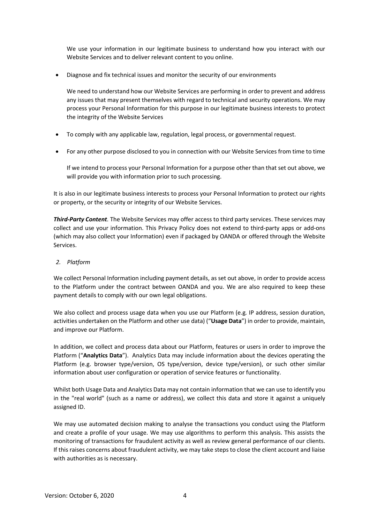We use your information in our legitimate business to understand how you interact with our Website Services and to deliver relevant content to you online.

• Diagnose and fix technical issues and monitor the security of our environments

We need to understand how our Website Services are performing in order to prevent and address any issues that may present themselves with regard to technical and security operations. We may process your Personal Information for this purpose in our legitimate business interests to protect the integrity of the Website Services

- To comply with any applicable law, regulation, legal process, or governmental request.
- For any other purpose disclosed to you in connection with our Website Services from time to time

If we intend to process your Personal Information for a purpose other than that set out above, we will provide you with information prior to such processing.

It is also in our legitimate business interests to process your Personal Information to protect our rights or property, or the security or integrity of our Website Services.

*Third-Party Content.* The Website Services may offer access to third party services. These services may collect and use your information. This Privacy Policy does not extend to third-party apps or add-ons (which may also collect your Information) even if packaged by OANDA or offered through the Website Services.

# *2. Platform*

We collect Personal Information including payment details, as set out above, in order to provide access to the Platform under the contract between OANDA and you. We are also required to keep these payment details to comply with our own legal obligations.

We also collect and process usage data when you use our Platform (e.g*.* IP address, session duration, activities undertaken on the Platform and other use data) ("**Usage Data**") in order to provide, maintain, and improve our Platform.

In addition, we collect and process data about our Platform, features or users in order to improve the Platform ("**Analytics Data**"). Analytics Data may include information about the devices operating the Platform (e.g. browser type/version, OS type/version, device type/version), or such other similar information about user configuration or operation of service features or functionality.

Whilst both Usage Data and Analytics Data may not contain information that we can use to identify you in the "real world" (such as a name or address), we collect this data and store it against a uniquely assigned ID.

We may use automated decision making to analyse the transactions you conduct using the Platform and create a profile of your usage. We may use algorithms to perform this analysis. This assists the monitoring of transactions for fraudulent activity as well as review general performance of our clients. If this raises concerns about fraudulent activity, we may take steps to close the client account and liaise with authorities as is necessary.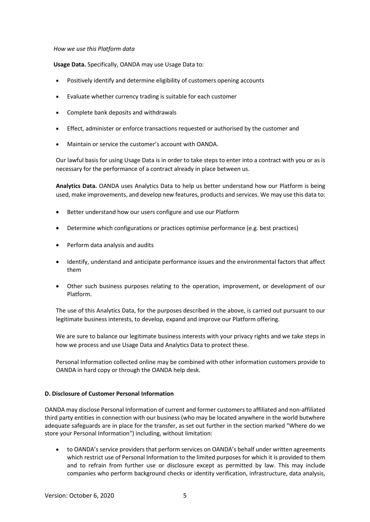## *How we use this Platform data*

**Usage Data.** Specifically, OANDA may use Usage Data to:

- Positively identify and determine eligibility of customers opening accounts
- Evaluate whether currency trading is suitable for each customer
- Complete bank deposits and withdrawals
- Effect, administer or enforce transactions requested or authorised by the customer and
- Maintain or service the customer's account with OANDA.

Our lawful basis for using Usage Data is in order to take steps to enter into a contract with you or as is necessary for the performance of a contract already in place between us.

**Analytics Data.** OANDA uses Analytics Data to help us better understand how our Platform is being used, make improvements, and develop new features, products and services. We may use this data to:

- Better understand how our users configure and use our Platform
- Determine which configurations or practices optimise performance (e.g*.* best practices)
- Perform data analysis and audits
- Identify, understand and anticipate performance issues and the environmental factors that affect them
- Other such business purposes relating to the operation, improvement, or development of our Platform.

The use of this Analytics Data, for the purposes described in the above, is carried out pursuant to our legitimate business interests, to develop, expand and improve our Platform offering.

We are sure to balance our legitimate business interests with your privacy rights and we take steps in how we process and use Usage Data and Analytics Data to protect these.

Personal Information collected online may be combined with other information customers provide to OANDA in hard copy or through the OANDA help desk.

#### **D. Disclosure of Customer Personal Information**

OANDA may disclose Personal Information of current and former customers to affiliated and non-affiliated third party entities in connection with our business (who may be located anywhere in the world butwhere adequate safeguards are in place for the transfer, as set out further in the section marked "Where do we store your Personal Information") including, without limitation:

• to OANDA's service providers that perform services on OANDA's behalf under written agreements which restrict use of Personal Information to the limited purposes for which it is provided to them and to refrain from further use or disclosure except as permitted by law. This may include companies who perform background checks or identity verification, infrastructure, data analysis,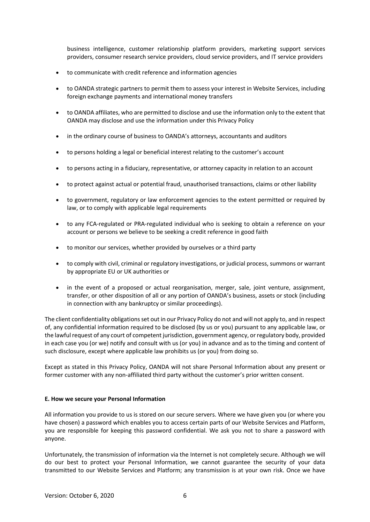business intelligence, customer relationship platform providers, marketing support services providers, consumer research service providers, cloud service providers, and IT service providers

- to communicate with credit reference and information agencies
- to OANDA strategic partners to permit them to assess your interest in Website Services, including foreign exchange payments and international money transfers
- to OANDA affiliates, who are permitted to disclose and use the information only to the extent that OANDA may disclose and use the information under this Privacy Policy
- in the ordinary course of business to OANDA's attorneys, accountants and auditors
- to persons holding a legal or beneficial interest relating to the customer's account
- to persons acting in a fiduciary, representative, or attorney capacity in relation to an account
- to protect against actual or potential fraud, unauthorised transactions, claims or other liability
- to government, regulatory or law enforcement agencies to the extent permitted or required by law, or to comply with applicable legal requirements
- to any FCA-regulated or PRA-regulated individual who is seeking to obtain a reference on your account or persons we believe to be seeking a credit reference in good faith
- to monitor our services, whether provided by ourselves or a third party
- to comply with civil, criminal or regulatory investigations, or judicial process, summons or warrant by appropriate EU or UK authorities or
- in the event of a proposed or actual reorganisation, merger, sale, joint venture, assignment, transfer, or other disposition of all or any portion of OANDA's business, assets or stock (including in connection with any bankruptcy or similar proceedings).

The client confidentiality obligations set out in our Privacy Policy do not and will not apply to, and in respect of, any confidential information required to be disclosed (by us or you) pursuant to any applicable law, or the lawful request of any court of competent jurisdiction, government agency, or regulatory body, provided in each case you (or we) notify and consult with us (or you) in advance and as to the timing and content of such disclosure, except where applicable law prohibits us (or you) from doing so.

Except as stated in this Privacy Policy, OANDA will not share Personal Information about any present or former customer with any non-affiliated third party without the customer's prior written consent.

# **E. How we secure your Personal Information**

All information you provide to us is stored on our secure servers. Where we have given you (or where you have chosen) a password which enables you to access certain parts of our Website Services and Platform, you are responsible for keeping this password confidential. We ask you not to share a password with anyone.

Unfortunately, the transmission of information via the Internet is not completely secure. Although we will do our best to protect your Personal Information, we cannot guarantee the security of your data transmitted to our Website Services and Platform; any transmission is at your own risk. Once we have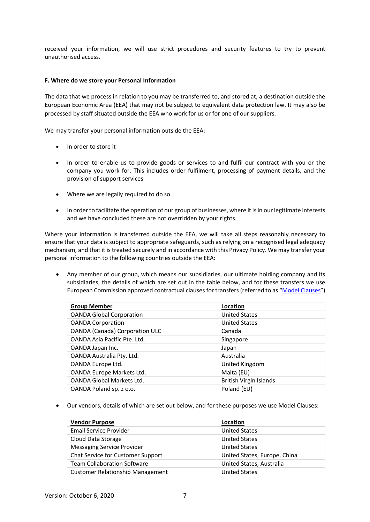received your information, we will use strict procedures and security features to try to prevent unauthorised access.

## **F. Where do we store your Personal Information**

The data that we process in relation to you may be transferred to, and stored at, a destination outside the European Economic Area (EEA) that may not be subject to equivalent data protection law. It may also be processed by staff situated outside the EEA who work for us or for one of our suppliers.

We may transfer your personal information outside the EEA:

- In order to store it
- In order to enable us to provide goods or services to and fulfil our contract with you or the company you work for. This includes order fulfilment, processing of payment details, and the provision of support services
- Where we are legally required to do so
- In order to facilitate the operation of our group of businesses, where it is in our legitimate interests and we have concluded these are not overridden by your rights.

Where your information is transferred outside the EEA, we will take all steps reasonably necessary to ensure that your data is subject to appropriate safeguards, such as relying on a recognised legal adequacy mechanism, and that it is treated securely and in accordance with this Privacy Policy. We may transfer your personal information to the following countries outside the EEA:

• Any member of our group, which means our subsidiaries, our ultimate holding company and its subsidiaries, the details of which are set out in the table below, and for these transfers we use European Commission approved contractual clauses for transfers (referred to as ["Model Clauses"](https://ec.europa.eu/info/law/law-topic/data-protection/data-transfers-outside-eu/model-contracts-transfer-personal-data-third-countries_en))

| <b>Group Member</b>                   | Location                      |
|---------------------------------------|-------------------------------|
| <b>OANDA Global Corporation</b>       | <b>United States</b>          |
| <b>OANDA Corporation</b>              | <b>United States</b>          |
| <b>OANDA (Canada) Corporation ULC</b> | Canada                        |
| OANDA Asia Pacific Pte. Ltd.          | Singapore                     |
| OANDA Japan Inc.                      | Japan                         |
| OANDA Australia Pty. Ltd.             | Australia                     |
| OANDA Europe Ltd.                     | United Kingdom                |
| OANDA Europe Markets Ltd.             | Malta (EU)                    |
| <b>OANDA Global Markets Ltd.</b>      | <b>British Virgin Islands</b> |
| OANDA Poland sp. z o.o.               | Poland (EU)                   |

• Our vendors, details of which are set out below, and for these purposes we use Model Clauses:

| <b>Vendor Purpose</b>                   | Location                     |
|-----------------------------------------|------------------------------|
| <b>Email Service Provider</b>           | <b>United States</b>         |
| Cloud Data Storage                      | <b>United States</b>         |
| <b>Messaging Service Provider</b>       | <b>United States</b>         |
| Chat Service for Customer Support       | United States, Europe, China |
| <b>Team Collaboration Software</b>      | United States, Australia     |
| <b>Customer Relationship Management</b> | <b>United States</b>         |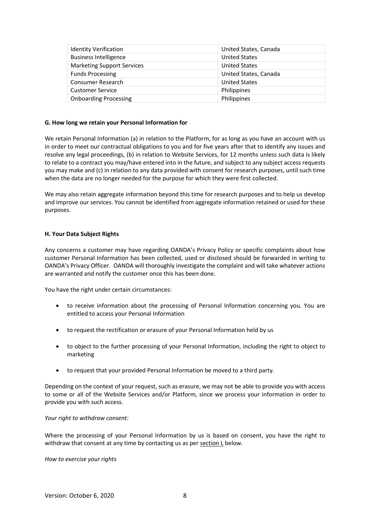| <b>Identity Verification</b>      | United States, Canada |
|-----------------------------------|-----------------------|
| <b>Business Intelligence</b>      | <b>United States</b>  |
| <b>Marketing Support Services</b> | <b>United States</b>  |
| <b>Funds Processing</b>           | United States, Canada |
| Consumer Research                 | <b>United States</b>  |
| <b>Customer Service</b>           | Philippines           |
| <b>Onboarding Processing</b>      | Philippines           |

## **G. How long we retain your Personal Information for**

We retain Personal Information (a) in relation to the Platform, for as long as you have an account with us in order to meet our contractual obligations to you and for five years after that to identify any issues and resolve any legal proceedings, (b) in relation to Website Services, for 12 months unless such data is likely to relate to a contract you may/have entered into in the future, and subject to any subject access requests you may make and (c) in relation to any data provided with consent for research purposes, until such time when the data are no longer needed for the purpose for which they were first collected.

We may also retain aggregate information beyond this time for research purposes and to help us develop and improve our services. You cannot be identified from aggregate information retained or used for these purposes.

## **H. Your Data Subject Rights**

Any concerns a customer may have regarding OANDA's Privacy Policy or specific complaints about how customer Personal Information has been collected, used or disclosed should be forwarded in writing to OANDA's Privacy Officer. OANDA will thoroughly investigate the complaint and will take whatever actions are warranted and notify the customer once this has been done.

You have the right under certain circumstances:

- to receive information about the processing of Personal Information concerning you. You are entitled to access your Personal Information
- to request the rectification or erasure of your Personal Information held by us
- to object to the further processing of your Personal Information, including the right to object to marketing
- to request that your provided Personal Information be moved to a third party.

Depending on the context of your request, such as erasure, we may not be able to provide you with access to some or all of the Website Services and/or Platform, since we process your information in order to provide you with such access.

*Your right to withdraw consent:*

Where the processing of your Personal Information by us is based on consent, you have the right to withdraw that consent at any time by contacting us as per section L below.

*How to exercise your rights*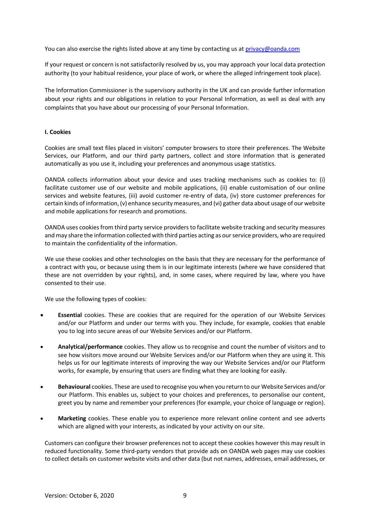You can also exercise the rights listed above at any time by contacting us at [privacy@oanda.com](mailto:privacy@oanda.com)

If your request or concern is not satisfactorily resolved by us, you may approach your local data protection authority (to your habitual residence, your place of work, or where the alleged infringement took place).

The Information Commissioner is the supervisory authority in the UK and can provide further information about your rights and our obligations in relation to your Personal Information, as well as deal with any complaints that you have about our processing of your Personal Information.

## **I. Cookies**

Cookies are small text files placed in visitors' computer browsers to store their preferences. The Website Services, our Platform, and our third party partners, collect and store information that is generated automatically as you use it, including your preferences and anonymous usage statistics.

OANDA collects information about your device and uses tracking mechanisms such as cookies to: (i) facilitate customer use of our website and mobile applications, (ii) enable customisation of our online services and website features, (iii) avoid customer re-entry of data, (iv) store customer preferences for certain kinds of information, (v) enhance security measures, and (vi) gather data about usage of our website and mobile applications for research and promotions.

OANDA uses cookies from third party service providers to facilitate website tracking and security measures and may share the information collected with third parties acting as our service providers, who are required to maintain the confidentiality of the information.

We use these cookies and other technologies on the basis that they are necessary for the performance of a contract with you, or because using them is in our legitimate interests (where we have considered that these are not overridden by your rights), and, in some cases, where required by law, where you have consented to their use.

We use the following types of cookies:

- **Essential** cookies. These are cookies that are required for the operation of our Website Services and/or our Platform and under our terms with you. They include, for example, cookies that enable you to log into secure areas of our Website Services and/or our Platform.
- **Analytical/performance** cookies. They allow us to recognise and count the number of visitors and to see how visitors move around our Website Services and/or our Platform when they are using it. This helps us for our legitimate interests of improving the way our Website Services and/or our Platform works, for example, by ensuring that users are finding what they are looking for easily.
- **Behavioural** cookies. These are used to recognise you when you return to our Website Services and/or our Platform. This enables us, subject to your choices and preferences, to personalise our content, greet you by name and remember your preferences (for example, your choice of language or region).
- **Marketing** cookies. These enable you to experience more relevant online content and see adverts which are aligned with your interests, as indicated by your activity on our site.

Customers can configure their browser preferences not to accept these cookies however this may result in reduced functionality. Some third-party vendors that provide ads on OANDA web pages may use cookies to collect details on customer website visits and other data (but not names, addresses, email addresses, or